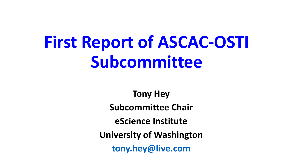# **First Report of ASCAC-OSTI Subcommittee**

**Tony Hey Subcommittee Chair eScience Institute University of Washington [tony.hey@live.com](mailto:tony.hey@live.com)**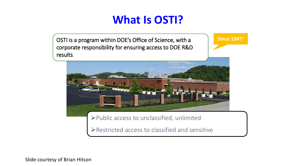### **What Is OSTI?**

OSTI is a program within DOE's Office of Science, with a corporate responsibility for ensuring access to DOE R&D results.

**Since 1947!**



Public access to unclassified, unlimited

Restricted access to classified and sensitive

Slide courtesy of Brian Hitson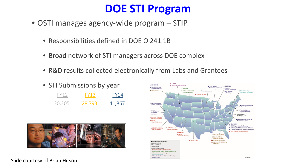### **DOE STI Program**

- OSTI manages agency-wide program STIP
	- Responsibilities defined in DOE O 241.1B
	- Broad network of STI managers across DOE complex
	- R&D results collected electronically from Labs and Grantees
	- STI Submissions by year FY12 20,205 FY14 41,867 FY13 28,793





Slide courtesy of Brian Hitson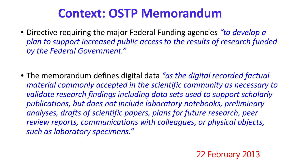## **Context: OSTP Memorandum**

- Directive requiring the major Federal Funding agencies *"to develop a plan to support increased public access to the results of research funded by the Federal Government."*
- The memorandum defines digital data *"as the digital recorded factual material commonly accepted in the scientific community as necessary to validate research findings including data sets used to support scholarly publications, but does not include laboratory notebooks, preliminary analyses, drafts of scientific papers, plans for future research, peer review reports, communications with colleagues, or physical objects, such as laboratory specimens."*

22 February 2013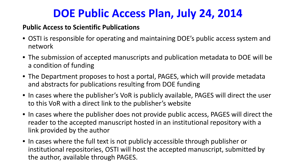## **DOE Public Access Plan, July 24, 2014**

#### **Public Access to Scientific Publications**

- OSTI is responsible for operating and maintaining DOE's public access system and network
- The submission of accepted manuscripts and publication metadata to DOE will be a condition of funding
- The Department proposes to host a portal, PAGES, which will provide metadata and abstracts for publications resulting from DOE funding
- In cases where the publisher's VoR is publicly available, PAGES will direct the user to this VoR with a direct link to the publisher's website
- In cases where the publisher does not provide public access, PAGES will direct the reader to the accepted manuscript hosted in an institutional repository with a link provided by the author
- In cases where the full text is not publicly accessible through publisher or institutional repositories, OSTI will host the accepted manuscript, submitted by the author, available through PAGES.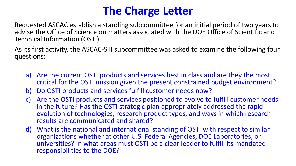## **The Charge Letter**

Requested ASCAC establish a standing subcommittee for an initial period of two years to advise the Office of Science on matters associated with the DOE Office of Scientific and Technical Information (OSTI).

As its first activity, the ASCAC-STI subcommittee was asked to examine the following four questions:

- a) Are the current OSTI products and services best in class and are they the most critical for the OSTI mission given the present constrained budget environment?
- b) Do OSTI products and services fulfill customer needs now?
- c) Are the OSTI products and services positioned to evolve to fulfill customer needs in the future? Has the OSTI strategic plan appropriately addressed the rapid evolution of technologies, research product types, and ways in which research results are communicated and shared?
- d) What is the national and international standing of OSTI with respect to similar organizations whether at other U.S. Federal Agencies, DOE Laboratories, or universities? In what areas must OSTI be a clear leader to fulfill its mandated responsibilities to the DOE?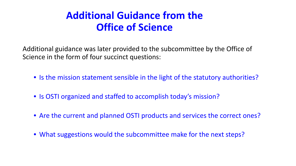### **Additional Guidance from the Office of Science**

Additional guidance was later provided to the subcommittee by the Office of Science in the form of four succinct questions:

- Is the mission statement sensible in the light of the statutory authorities?
- Is OSTI organized and staffed to accomplish today's mission?
- Are the current and planned OSTI products and services the correct ones?
- What suggestions would the subcommittee make for the next steps?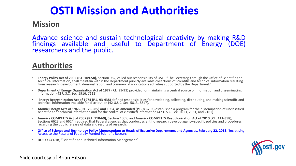### **OSTI Mission and Authorities**

#### **Mission**

Advance science and sustain technological creativity by making R&D findings available and useful to Department of Energy (DOE)<br>researchers and the public.

#### **Authorities**

- Energy Policy Act of 2005 (P.L. 109-58), Section 982, called out responsibility of OSTI: "The Secretary, through the Office of Scientific and Technical Information, shall maintain within the Department publicly available c
- **Department of Energy Organization Act of 1977 (P.L. 95-91)** provided for maintaining a central source of information and disseminating information (42 U.S.C. Sec. 5916, 7112).
- Energy Reorganization Act of 1974 (P.L. 93-438) defined responsibilities for developing, collecting, distributing, and making scientific and technical information available for distribution (42 U.S.C. Sec. 5813, 5817).
- Atomic Energy Acts of 1946 (P.L. 79-585) and 1954, as amended (P.L. 83-703) established a program for the dissemination of unclassified scientific and technical information and for the control of classified information (42
- America COMPETES Act of 2007 (P.L. 110-69), Section 1009, and America COMPETES Reauthorization Act of 2010 (P.L. 111-358),<br>Sections 6623 and 6624, required that Federal agencies that conduct scientific research develop a regarding the public release of data and results of research.
- **Office of Science and Technology Policy Memorandum to Heads of Executive Departments and Agencies, February 22, 2013, 'Increasing Access to the Results of Federally Funded Scientific Research'**
- **DOE O 241.1B**, "Scientific and Technical Information Management"



Slide courtesy of Brian Hitson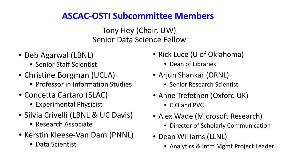### **ASCAC-OSTI Subcommittee Members**

Tony Hey (Chair, UW) Senior Data Science Fellow

- Deb Agarwal (LBNL)
	- Senior Staff Scientist
- Christine Borgman (UCLA)
	- Professor in Information Studies
- Concetta Cartaro (SLAC)
	- Experimental Physicist
- Silvia Crivelli (LBNL & UC Davis)
	- Research Associate
- Kerstin Kleese-Van Dam (PNNL)
	- Data Scientist
- Rick Luce (U of Oklahoma)
	- Dean of Libraries
- Arjun Shankar (ORNL)
	- Senior Research Scientist
- Anne Trefethen (Oxford UK)
	- CIO and PVC
- Alex Wade (Microsoft Research)
	- Director of Scholarly Communication
- Dean Williams (LLNL)
	- Analytics & Infm Mgmt Project Leader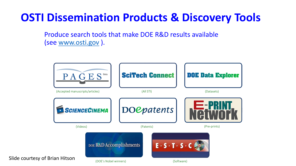## **OSTI Dissemination Products & Discovery Tools**

Produce search tools that make DOE R&D results available (see [www.osti.gov](http://www.osti.gov/) ).

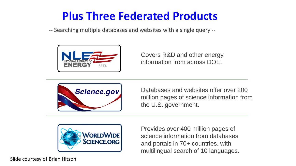## **Plus Three Federated Products**

-- Searching multiple databases and websites with a single query --



Covers R&D and other energy information from across DOE.



Databases and websites offer over 200 million pages of science information from the U.S. government.



Provides over 400 million pages of science information from databases and portals in 70+ countries, with multilingual search of 10 languages.

Slide courtesy of Brian Hitson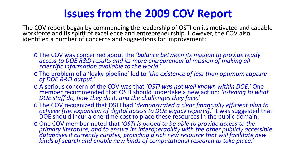### **Issues from the 2009 COV Report**

The COV report began by commending the leadership of OSTI on its motivated and capable workforce and its spirit of excellence and entrepreneurship. However, the COV also identified a number of concerns and suggestions for improvement:

- <sup>o</sup> The COV was concerned about the *'balance between its mission to provide ready access to DOE R&D results and its more entrepreneurial mission of making all scientific information available to the world.'*
- <sup>o</sup> The problem of a 'leaky pipeline' led to *'the existence of less than optimum capture of DOE R&D output.'*
- o A serious concern of the COV was that *'OSTI was not well known within DOE.'* One member recommended that OSTI should undertake a new action: *'listening to what DOE staff do, how they do it, and the challenges they face.'*
- <sup>o</sup> The COV recognized that OSTI had '*demonstrated a clear financially efficient plan to achieve [the expansion of digital access to DOE legacy reports].'* It was suggested that DOE should incur a one-time cost to place these resources in the public domain.
- <sup>o</sup> One COV member noted that *'OSTI is poised to be able to provide access to the primary literature, and to ensure its interoperability with the other publicly accessible databases it currently curates, providing a rich new resource that will facilitate new kinds of search and enable new kinds of computational research to take place.'*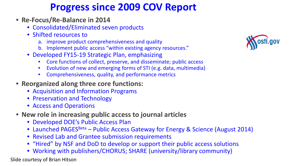### **Progress since 2009 COV Report**

- **Re-Focus/Re-Balance in 2014**
	- Consolidated/Eliminated seven products
	- Shifted resources to
		- a. improve product comprehensiveness and quality
		- b. Implement public access "within existing agency resources."
	- Developed FY15-19 Strategic Plan, emphasizing
		- Core functions of collect, preserve, and disseminate; public access
		- Evolution of new and emerging forms of STI (e.g. data, multimedia)
		- Comprehensiveness, quality, and performance metrics
- **Reorganized along three core functions:**
	- Acquisition and Information Programs
	- Preservation and Technology
	- Access and Operations
- **New role in increasing public access to journal articles**
	- Developed DOE's Public Access Plan
	- Launched PAGES<sup>Beta</sup> Public Access Gateway for Energy & Science (August 2014)
	- Revised Lab and Grantee submission requirements
	- "Hired" by NSF and DoD to develop or support their public access solutions
	- Working with publishers/CHORUS; SHARE (university/library community)

Slide courtesy of Brian Hitson

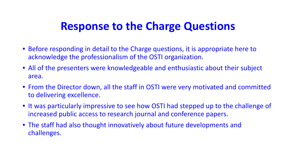### **Response to the Charge Questions**

- Before responding in detail to the Charge questions, it is appropriate here to acknowledge the professionalism of the OSTI organization.
- All of the presenters were knowledgeable and enthusiastic about their subject area.
- From the Director down, all the staff in OSTI were very motivated and committed to delivering excellence.
- It was particularly impressive to see how OSTI had stepped up to the challenge of increased public access to research journal and conference papers.
- The staff had also thought innovatively about future developments and challenges.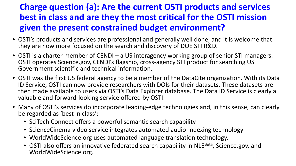### **Charge question (a): Are the current OSTI products and services best in class and are they the most critical for the OSTI mission given the present constrained budget environment?**

- OSTI's products and services are professional and generally well done, and it is welcome that they are now more focused on the search and discovery of DOE STI R&D.
- OSTI is a charter member of CENDI a US interagency working group of senior STI managers. OSTI operates Science.gov, CENDI's flagship, cross-agency STI product for searching US Government scientific and technical information.
- OSTI was the first US federal agency to be a member of the DataCite organization. With its Data ID Service, OSTI can now provide researchers with DOIs for their datasets. These datasets are then made available to users via OSTI's Data Explorer database. The Data ID Service is clearly a valuable and forward-looking service offered by OSTI.
- Many of OSTI's services do incorporate leading-edge technologies and, in this sense, can clearly be regarded as 'best in class':
	- SciTech Connect offers a powerful semantic search capability
	- ScienceCinema video service integrates automated audio-indexing technology
	- WorldWideScience.org uses automated language translation technology.
	- OSTI also offers an innovative federated search capability in NLE<sup>Beta</sup>, Science.gov, and WorldWideScience.org.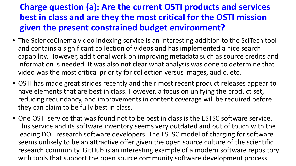### **Charge question (a): Are the current OSTI products and services best in class and are they the most critical for the OSTI mission given the present constrained budget environment?**

- The ScienceCinema video indexing service is an interesting addition to the SciTech tool and contains a significant collection of videos and has implemented a nice search capability. However, additional work on improving metadata such as source credits and information is needed. It was also not clear what analysis was done to determine that video was the most critical priority for collection versus images, audio, etc.
- OSTI has made great strides recently and their most recent product releases appear to have elements that are best in class. However, a focus on unifying the product set, reducing redundancy, and improvements in content coverage will be required before they can claim to be fully best in class.
- One OSTI service that was found not to be best in class is the ESTSC software service. This service and its software inventory seems very outdated and out of touch with the leading DOE research software developers. The ESTSC model of charging for software seems unlikely to be an attractive offer given the open source culture of the scientific research community. GitHub is an interesting example of a modern software repository with tools that support the open source community software development process.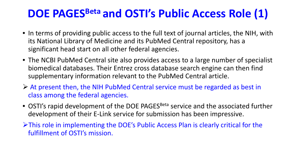## **DOE PAGESBeta and OSTI's Public Access Role (1)**

- In terms of providing public access to the full text of journal articles, the NIH, with its National Library of Medicine and its PubMed Central repository, has a significant head start on all other federal agencies.
- The NCBI PubMed Central site also provides access to a large number of specialist biomedical databases. Their Entrez cross database search engine can then find supplementary information relevant to the PubMed Central article.
- At present then, the NIH PubMed Central service must be regarded as best in class among the federal agencies.
- OSTI's rapid development of the DOE PAGES<sup>Beta</sup> service and the associated further development of their E-Link service for submission has been impressive.
- This role in implementing the DOE's Public Access Plan is clearly critical for the fulfillment of OSTI's mission.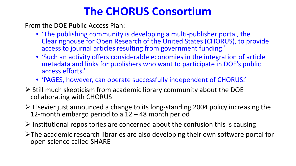### **The CHORUS Consortium**

From the DOE Public Access Plan:

- 'The publishing community is developing a multi-publisher portal, the Clearinghouse for Open Research of the United States (CHORUS), to provide access to journal articles resulting from government funding.'
- 'Such an activity offers considerable economies in the integration of article metadata and links for publishers who want to participate in DOE's public access efforts.'
- 'PAGES, however, can operate successfully independent of CHORUS.'
- $\triangleright$  Still much skepticism from academic library community about the DOE collaborating with CHORUS
- $\triangleright$  Elsevier just announced a change to its long-standing 2004 policy increasing the 12-month embargo period to a 12 – 48 month period
- $\triangleright$  Institutional repositories are concerned about the confusion this is causing
- $\triangleright$ The academic research libraries are also developing their own software portal for open science called SHARE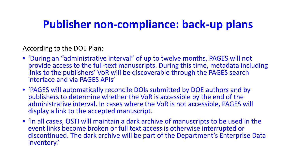### **Publisher non-compliance: back-up plans**

According to the DOE Plan:

- 'During an "administrative interval" of up to twelve months, PAGES will not provide access to the full-text manuscripts. During this time, metadata including links to the publishers' VoR will be discoverable through the PAGES search interface and via PAGES APIs'
- 'PAGES will automatically reconcile DOIs submitted by DOE authors and by publishers to determine whether the VoR is accessible by the end of the administrative interval. In cases where the VoR is not accessible, PAGES will display a link to the accepted manuscript.
- 'In all cases, OSTI will maintain a dark archive of manuscripts to be used in the event links become broken or full text access is otherwise interrupted or discontinued. The dark archive will be part of the Department's Enterprise Data inventory.'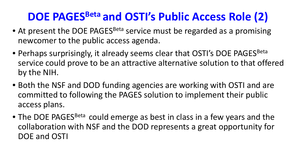## **DOE PAGESBeta and OSTI's Public Access Role (2)**

- At present the DOE PAGES<sup>Beta</sup> service must be regarded as a promising newcomer to the public access agenda.
- Perhaps surprisingly, it already seems clear that OSTI's DOE PAGES<sup>Beta</sup> service could prove to be an attractive alternative solution to that offered by the NIH.
- Both the NSF and DOD funding agencies are working with OSTI and are committed to following the PAGES solution to implement their public access plans.
- The DOE PAGES<sup>Beta</sup> could emerge as best in class in a few years and the collaboration with NSF and the DOD represents a great opportunity for DOE and OSTI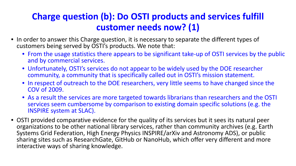### **Charge question (b): Do OSTI products and services fulfill customer needs now? (1)**

- In order to answer this Charge question, it is necessary to separate the different types of customers being served by OSTI's products. We note that:
	- From the usage statistics there appears to be significant take-up of OSTI services by the public and by commercial services.
	- Unfortunately, OSTI's services do not appear to be widely used by the DOE researcher community, a community that is specifically called out in OSTI's mission statement.
	- In respect of outreach to the DOE researchers, very little seems to have changed since the COV of 2009.
	- As a result the services are more targeted towards librarians than researchers and the OSTI services seem cumbersome by comparison to existing domain specific solutions (e.g. the INSPIRE system at SLAC).
- OSTI provided comparative evidence for the quality of its services but it sees its natural peer organizations to be other national library services, rather than community archives (e.g. Earth Systems Grid Federation, High Energy Physics INSPIRE/arXiv and Astronomy ADS), or public sharing sites such as ResearchGate, GitHub or NanoHub, which offer very different and more interactive ways of sharing knowledge.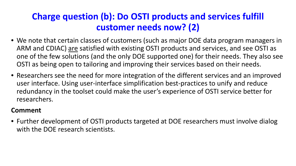### **Charge question (b): Do OSTI products and services fulfill customer needs now? (2)**

- We note that certain classes of customers (such as major DOE data program managers in ARM and CDIAC) are satisfied with existing OSTI products and services, and see OSTI as one of the few solutions (and the only DOE supported one) for their needs. They also see OSTI as being open to tailoring and improving their services based on their needs.
- Researchers see the need for more integration of the different services and an improved user interface. Using user-interface simplification best-practices to unify and reduce redundancy in the toolset could make the user's experience of OSTI service better for researchers.

#### **Comment**

• Further development of OSTI products targeted at DOE researchers must involve dialog with the DOE research scientists.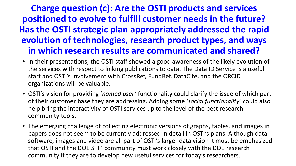### **Charge question (c): Are the OSTI products and services positioned to evolve to fulfill customer needs in the future? Has the OSTI strategic plan appropriately addressed the rapid evolution of technologies, research product types, and ways in which research results are communicated and shared?**

- In their presentations, the OSTI staff showed a good awareness of the likely evolution of the services with respect to linking publications to data. The Data ID Service is a useful start and OSTI's involvement with CrossRef, FundRef, DataCite, and the ORCID organizations will be valuable.
- OSTI's vision for providing '*named user'* functionality could clarify the issue of which part of their customer base they are addressing. Adding some *'social functionality'* could also help bring the interactivity of OSTI services up to the level of the best research community tools.
- The emerging challenge of collecting electronic versions of graphs, tables, and images in papers does not seem to be currently addressed in detail in OSTI's plans. Although data, software, images and video are all part of OSTI's larger data vision it must be emphasized that OSTI and the DOE STIP community must work closely with the DOE research community if they are to develop new useful services for today's researchers.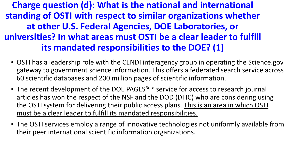### **Charge question (d): What is the national and international standing of OSTI with respect to similar organizations whether at other U.S. Federal Agencies, DOE Laboratories, or universities? In what areas must OSTI be a clear leader to fulfill its mandated responsibilities to the DOE? (1)**

- OSTI has a leadership role with the CENDI interagency group in operating the Science.gov gateway to government science information. This offers a federated search service across 60 scientific databases and 200 million pages of scientific information.
- The recent development of the DOE PAGES<sup>Beta</sup> service for access to research journal articles has won the respect of the NSF and the DOD (DTIC) who are considering using the OSTI system for delivering their public access plans. This is an area in which OSTI must be a clear leader to fulfill its mandated responsibilities.
- The OSTI services employ a range of innovative technologies not uniformly available from their peer international scientific information organizations.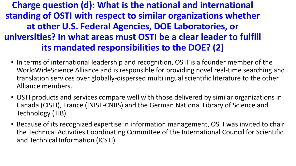### **Charge question (d): What is the national and international standing of OSTI with respect to similar organizations whether at other U.S. Federal Agencies, DOE Laboratories, or universities? In what areas must OSTI be a clear leader to fulfill its mandated responsibilities to the DOE? (2)**

- In terms of international leadership and recognition, OSTI is a founder member of the WorldWideScience Alliance and is responsible for providing novel real-time searching and translation services over globally-dispersed multilingual scientific literature to the other Alliance members.
- OSTI products and services compare well with those delivered by similar organizations in Canada (CISTI), France (INIST-CNRS) and the German National Library of Science and Technology (TIB).
- Because of its recognized expertise in information management, OSTI was invited to chair the Technical Activities Coordinating Committee of the International Council for Scientific and Technical Information (ICSTI).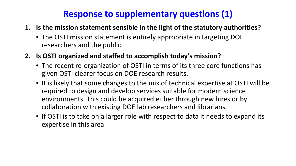#### **Response to supplementary questions (1)**

- **1. Is the mission statement sensible in the light of the statutory authorities?**
	- The OSTI mission statement is entirely appropriate in targeting DOE researchers and the public.
- **2. Is OSTI organized and staffed to accomplish today's mission?**
	- The recent re-organization of OSTI in terms of its three core functions has given OSTI clearer focus on DOE research results.
	- It is likely that some changes to the mix of technical expertise at OSTI will be required to design and develop services suitable for modern science environments. This could be acquired either through new hires or by collaboration with existing DOE lab researchers and librarians.
	- If OSTI is to take on a larger role with respect to data it needs to expand its expertise in this area.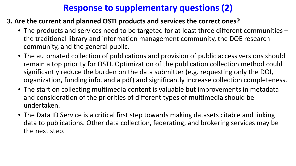#### **Response to supplementary questions (2)**

#### **3. Are the current and planned OSTI products and services the correct ones?**

- The products and services need to be targeted for at least three different communities the traditional library and information management community, the DOE research community, and the general public.
- The automated collection of publications and provision of public access versions should remain a top priority for OSTI. Optimization of the publication collection method could significantly reduce the burden on the data submitter (e.g. requesting only the DOI, organization, funding info, and a pdf) and significantly increase collection completeness.
- The start on collecting multimedia content is valuable but improvements in metadata and consideration of the priorities of different types of multimedia should be undertaken.
- The Data ID Service is a critical first step towards making datasets citable and linking data to publications. Other data collection, federating, and brokering services may be the next step.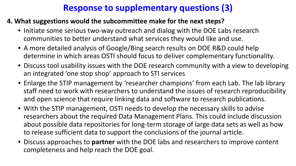#### **Response to supplementary questions (3)**

#### **4. What suggestions would the subcommittee make for the next steps?**

- Initiate some serious two-way outreach and dialog with the DOE Labs research communities to better understand what services they would like and use.
- A more detailed analysis of Google/Bing search results on DOE R&D could help determine in which areas OSTI should focus to deliver complementary functionality.
- Discuss tool usability issues with the DOE research community with a view to developing an integrated 'one stop shop' approach to STI services
- Enlarge the STIP management by 'researcher champions' from each Lab. The lab library staff need to work with researchers to understand the issues of research reproducibility and open science that require linking data and software to research publications.
- With the STIP management, OSTI needs to develop the necessary skills to advise researchers about the required Data Management Plans. This could include discussion about possible data repositories for long-term storage of large data sets as well as how to release sufficient data to support the conclusions of the journal article.
- Discuss approaches to **partner** with the DOE labs and researchers to improve content completeness and help reach the DOE goal.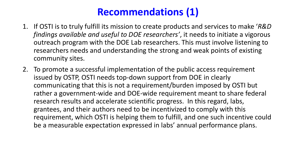### **Recommendations (1)**

- 1. If OSTI is to truly fulfill its mission to create products and services to make '*R&D findings available and useful to DOE researchers'*, it needs to initiate a vigorous outreach program with the DOE Lab researchers. This must involve listening to researchers needs and understanding the strong and weak points of existing community sites.
- 2. To promote a successful implementation of the public access requirement issued by OSTP, OSTI needs top-down support from DOE in clearly communicating that this is not a requirement/burden imposed by OSTI but rather a government-wide and DOE-wide requirement meant to share federal research results and accelerate scientific progress. In this regard, labs, grantees, and their authors need to be incentivized to comply with this requirement, which OSTI is helping them to fulfill, and one such incentive could be a measurable expectation expressed in labs' annual performance plans.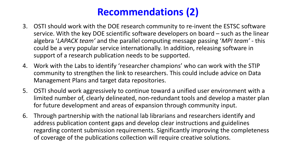### **Recommendations (2)**

- 3. OSTI should work with the DOE research community to re-invent the ESTSC software service. With the key DOE scientific software developers on board – such as the linear algebra '*LAPACK team'* and the parallel computing message passing '*MPI team'* - this could be a very popular service internationally. In addition, releasing software in support of a research publication needs to be supported.
- 4. Work with the Labs to identify 'researcher champions' who can work with the STIP community to strengthen the link to researchers. This could include advice on Data Management Plans and target data repositories.
- 5. OSTI should work aggressively to continue toward a unified user environment with a limited number of, clearly delineated, non-redundant tools and develop a master plan for future development and areas of expansion through community input.
- 6. Through partnership with the national lab librarians and researchers identify and address publication content gaps and develop clear instructions and guidelines regarding content submission requirements. Significantly improving the completeness of coverage of the publications collection will require creative solutions.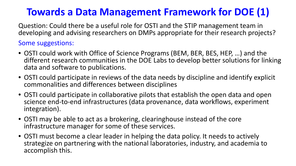### **Towards a Data Management Framework for DOE (1)**

Question: Could there be a useful role for OSTI and the STIP management team in developing and advising researchers on DMPs appropriate for their research projects?

Some suggestions:

- OSTI could work with Office of Science Programs (BEM, BER, BES, HEP, …) and the different research communities in the DOE Labs to develop better solutions for linking data and software to publications.
- OSTI could participate in reviews of the data needs by discipline and identify explicit commonalities and differences between disciplines
- OSTI could participate in collaborative pilots that establish the open data and open science end-to-end infrastructures (data provenance, data workflows, experiment integration).
- OSTI may be able to act as a brokering, clearinghouse instead of the core infrastructure manager for some of these services.
- OSTI must become a clear leader in helping the data policy. It needs to actively strategize on partnering with the national laboratories, industry, and academia to accomplish this.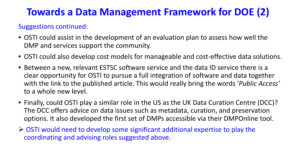### **Towards a Data Management Framework for DOE (2)**

#### Suggestions continued:

- OSTI could assist in the development of an evaluation plan to assess how well the DMP and services support the community.
- OSTI could also develop cost models for manageable and cost-effective data solutions.
- Between a new, relevant ESTSC software service and the data ID service there is a clear opportunity for OSTI to pursue a full integration of software and data together with the link to the published article. This would really bring the words '*Public Access'* to a whole new level.
- Finally, could OSTI play a similar role in the US as the UK Data Curation Centre (DCC)? The DCC offers advice on data issues such as metadata, curation, and preservation options. It also developed the first set of DMPs accessible via their DMPOnline tool.
- OSTI would need to develop some significant additional expertise to play the coordinating and advising roles suggested above.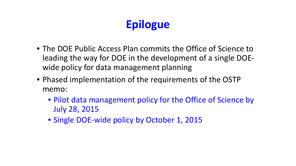## **Epilogue**

- The DOE Public Access Plan commits the Office of Science to leading the way for DOE in the development of a single DOEwide policy for data management planning
- Phased implementation of the requirements of the OSTP memo:
	- Pilot data management policy for the Office of Science by July 28, 2015
	- Single DOE-wide policy by October 1, 2015